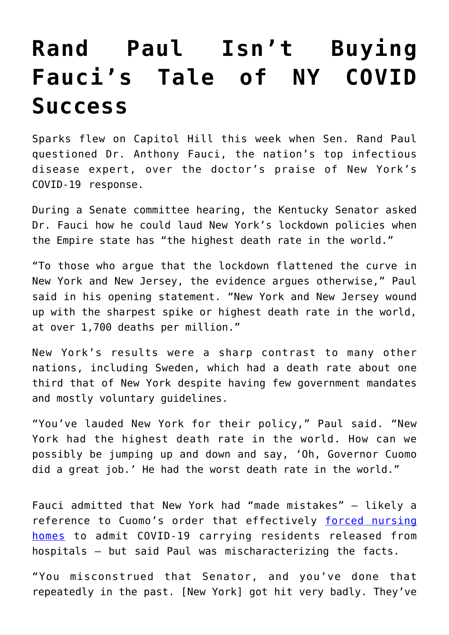## **[Rand Paul Isn't Buying](https://intellectualtakeout.org/2020/09/rand-paul-isnt-buying-faucis-tale-of-ny-covid-success/) [Fauci's Tale of NY COVID](https://intellectualtakeout.org/2020/09/rand-paul-isnt-buying-faucis-tale-of-ny-covid-success/) [Success](https://intellectualtakeout.org/2020/09/rand-paul-isnt-buying-faucis-tale-of-ny-covid-success/)**

Sparks flew on Capitol Hill this week when Sen. Rand Paul questioned Dr. Anthony Fauci, the nation's top infectious disease expert, over the doctor's praise of New York's COVID-19 response.

During a Senate committee hearing, the Kentucky Senator asked Dr. Fauci how he could laud New York's lockdown policies when the Empire state has "the highest death rate in the world."

"To those who argue that the lockdown flattened the curve in New York and New Jersey, the evidence argues otherwise," Paul said in his opening statement. "New York and New Jersey wound up with the sharpest spike or highest death rate in the world, at over 1,700 deaths per million."

New York's results were a sharp contrast to many other nations, including Sweden, which had a death rate about one third that of New York despite having few government mandates and mostly voluntary guidelines.

"You've lauded New York for their policy," Paul said. "New York had the highest death rate in the world. How can we possibly be jumping up and down and say, 'Oh, Governor Cuomo did a great job.' He had the worst death rate in the world."

Fauci admitted that New York had "made mistakes" – likely a reference to Cuomo's order that effectively [forced nursing](https://fee.org/articles/how-states-turned-nursing-homes-into-slaughter-houses-by-forcing-them-to-admit-discharged-covid-19-patients/) [homes](https://fee.org/articles/how-states-turned-nursing-homes-into-slaughter-houses-by-forcing-them-to-admit-discharged-covid-19-patients/) to admit COVID-19 carrying residents released from hospitals – but said Paul was mischaracterizing the facts.

"You misconstrued that Senator, and you've done that repeatedly in the past. [New York] got hit very badly. They've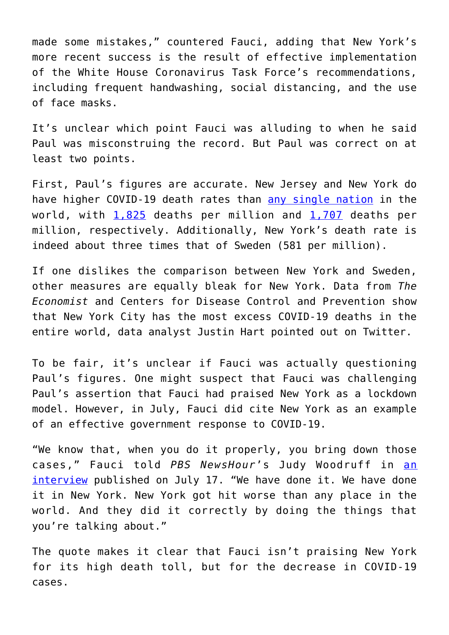made some mistakes," countered Fauci, adding that New York's more recent success is the result of effective implementation of the White House Coronavirus Task Force's recommendations, including frequent handwashing, social distancing, and the use of face masks.

It's unclear which point Fauci was alluding to when he said Paul was misconstruing the record. But Paul was correct on at least two points.

First, Paul's figures are accurate. New Jersey and New York do have higher COVID-19 death rates than [any single nation](https://www.worldometers.info/coronavirus/) in the world, with  $1,825$  deaths per million and  $1,707$  deaths per million, respectively. Additionally, New York's death rate is indeed about three times that of Sweden (581 per million).

If one dislikes the comparison between New York and Sweden, other measures are equally bleak for New York. Data from *The Economist* and Centers for Disease Control and Prevention show that New York City has the most excess COVID-19 deaths in the entire world, data analyst Justin Hart pointed out on Twitter.

To be fair, it's unclear if Fauci was actually questioning Paul's figures. One might suspect that Fauci was challenging Paul's assertion that Fauci had praised New York as a lockdown model. However, in July, Fauci did cite New York as an example of an effective government response to COVID-19.

"We know that, when you do it properly, you bring down those cases," Fauci told *PBS NewsHour*'s Judy Woodruff in [an](https://www.pbs.org/newshour/show/how-fauci-says-the-u-s-can-get-control-of-the-pandemic) [interview](https://www.pbs.org/newshour/show/how-fauci-says-the-u-s-can-get-control-of-the-pandemic) published on July 17. "We have done it. We have done it in New York. New York got hit worse than any place in the world. And they did it correctly by doing the things that you're talking about."

The quote makes it clear that Fauci isn't praising New York for its high death toll, but for the decrease in COVID-19 cases.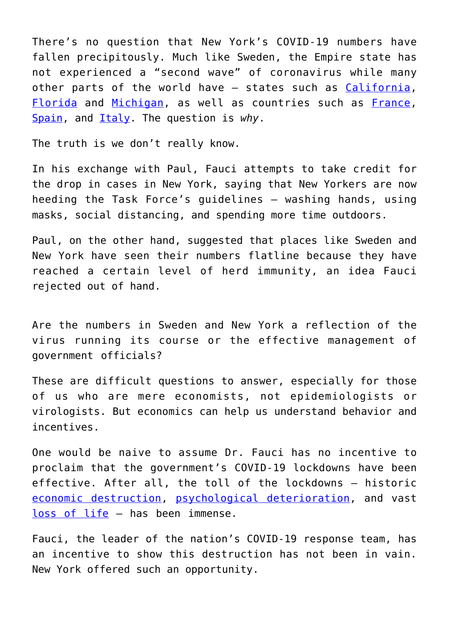There's no question that New York's COVID-19 numbers have fallen precipitously. Much like Sweden, the Empire state has not experienced a "second wave" of coronavirus while many other parts of the world have – states such as [California,](https://www.worldometers.info/coronavirus/usa/california/) [Florida](https://www.worldometers.info/coronavirus/usa/florida/) and [Michigan](https://www.worldometers.info/coronavirus/usa/michigan/), as well as countries such as [France,](https://www.worldometers.info/coronavirus/country/france/) [Spain](https://www.worldometers.info/coronavirus/country/spain/), and [Italy.](https://www.worldometers.info/coronavirus/country/italy/) The question is *why*.

The truth is we don't really know.

In his exchange with Paul, Fauci attempts to take credit for the drop in cases in New York, saying that New Yorkers are now heeding the Task Force's guidelines – washing hands, using masks, social distancing, and spending more time outdoors.

Paul, on the other hand, suggested that places like Sweden and New York have seen their numbers flatline because they have reached a certain level of herd immunity, an idea Fauci rejected out of hand.

Are the numbers in Sweden and New York a reflection of the virus running its course or the effective management of government officials?

These are difficult questions to answer, especially for those of us who are mere economists, not epidemiologists or virologists. But economics can help us understand behavior and incentives.

One would be naive to assume Dr. Fauci has no incentive to proclaim that the government's COVID-19 lockdowns have been effective. After all, the toll of the lockdowns – historic [economic destruction](https://fee.org/articles/bbc-sweden-s-economy-is-doing-way-better-than-the-rest-of-the-eu-during-the-covid-19-pandemic/), [psychological deterioration](https://fee.org/articles/cdc-a-quarter-of-young-adults-say-they-contemplated-suicide-this-summer-during-pandemic/), and vast [loss of life](https://fee.org/articles/economic-lockdowns-kill-people-yes-literally/) – has been immense.

Fauci, the leader of the nation's COVID-19 response team, has an incentive to show this destruction has not been in vain. New York offered such an opportunity.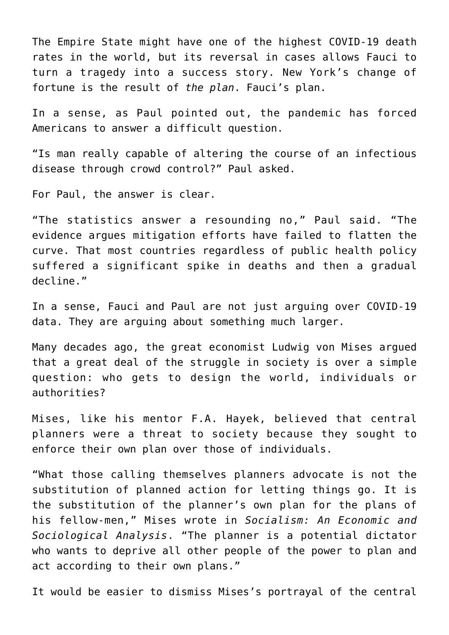The Empire State might have one of the highest COVID-19 death rates in the world, but its reversal in cases allows Fauci to turn a tragedy into a success story. New York's change of fortune is the result of *the plan*. Fauci's plan.

In a sense, as Paul pointed out, the pandemic has forced Americans to answer a difficult question.

"Is man really capable of altering the course of an infectious disease through crowd control?" Paul asked.

For Paul, the answer is clear.

"The statistics answer a resounding no," Paul said. "The evidence argues mitigation efforts have failed to flatten the curve. That most countries regardless of public health policy suffered a significant spike in deaths and then a gradual decline."

In a sense, Fauci and Paul are not just arguing over COVID-19 data. They are arguing about something much larger.

Many decades ago, the great economist Ludwig von Mises argued that a great deal of the struggle in society is over a simple question: who gets to design the world, individuals or authorities?

Mises, like his mentor F.A. Hayek, believed that central planners were a threat to society because they sought to enforce their own plan over those of individuals.

"What those calling themselves planners advocate is not the substitution of planned action for letting things go. It is the substitution of the planner's own plan for the plans of his fellow-men," Mises wrote in *Socialism: An Economic and Sociological Analysis*. "The planner is a potential dictator who wants to deprive all other people of the power to plan and act according to their own plans."

It would be easier to dismiss Mises's portrayal of the central